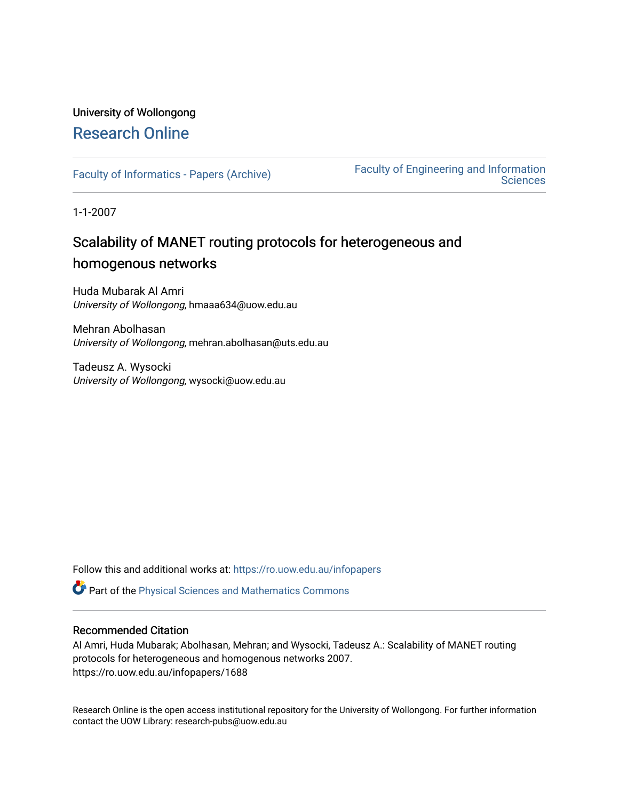## University of Wollongong [Research Online](https://ro.uow.edu.au/)

[Faculty of Informatics - Papers \(Archive\)](https://ro.uow.edu.au/infopapers) [Faculty of Engineering and Information](https://ro.uow.edu.au/eis)  **Sciences** 

1-1-2007

## Scalability of MANET routing protocols for heterogeneous and homogenous networks

Huda Mubarak Al Amri University of Wollongong, hmaaa634@uow.edu.au

Mehran Abolhasan University of Wollongong, mehran.abolhasan@uts.edu.au

Tadeusz A. Wysocki University of Wollongong, wysocki@uow.edu.au

Follow this and additional works at: [https://ro.uow.edu.au/infopapers](https://ro.uow.edu.au/infopapers?utm_source=ro.uow.edu.au%2Finfopapers%2F1688&utm_medium=PDF&utm_campaign=PDFCoverPages)

Part of the [Physical Sciences and Mathematics Commons](http://network.bepress.com/hgg/discipline/114?utm_source=ro.uow.edu.au%2Finfopapers%2F1688&utm_medium=PDF&utm_campaign=PDFCoverPages) 

#### Recommended Citation

Al Amri, Huda Mubarak; Abolhasan, Mehran; and Wysocki, Tadeusz A.: Scalability of MANET routing protocols for heterogeneous and homogenous networks 2007. https://ro.uow.edu.au/infopapers/1688

Research Online is the open access institutional repository for the University of Wollongong. For further information contact the UOW Library: research-pubs@uow.edu.au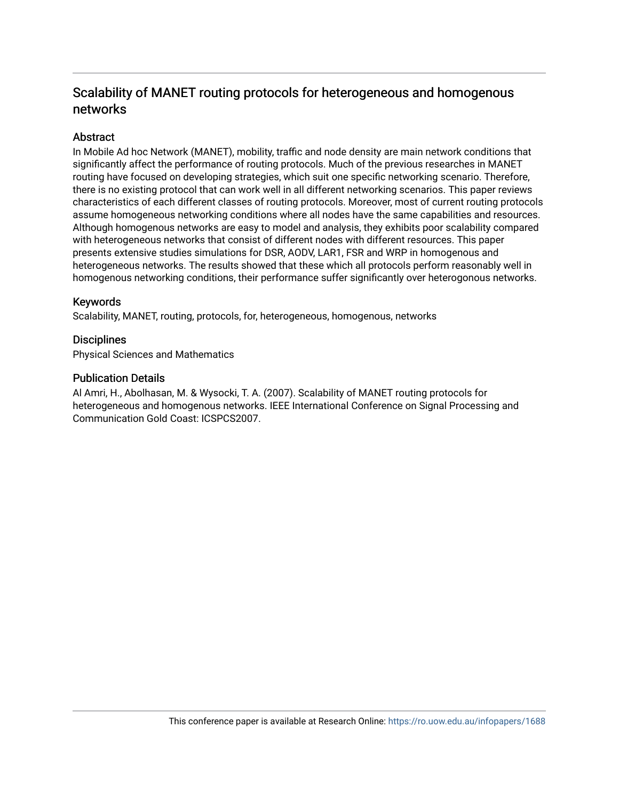### Scalability of MANET routing protocols for heter ogeneous and homogenous networks

#### **Abstract**

In Mobile Ad hoc Network (MANET), mobility, traffic and node density are main network conditions that significantly affect the performance of routing protocols. Much of the previous researches in MANET routing have focused on developing strategies, which suit one specific networking scenario. Therefore, there is no existing protocol that can work well in all different networking scenarios. This paper reviews characteristics of each different classes of routing protocols. Moreover, most of current routing protocols assume homogeneous networking conditions where all nodes have the same capabilities and resources. Although homogenous networks are easy to model and analysis, they exhibits poor scalability compared with heterogeneous networks that consist of different nodes with different resources. This paper presents extensive studies simulations for DSR, AODV, LAR1, FSR and WRP in homogenous and heterogeneous networks. The results showed that these which all protocols perform reasonably well in homogenous networking conditions, their performance suffer significantly over heterogonous networks.

#### Keywords

Scalability, MANET, routing, protocols, for, heterogeneous, homogenous, networks

#### **Disciplines**

Physical Sciences and Mathematics

#### Publication Details

Al Amri, H., Abolhasan, M. & Wysocki, T. A. (2007). Scalability of MANET routing protocols for heterogeneous and homogenous networks. IEEE International Conference on Signal Processing and Communication Gold Coast: ICSPCS2007.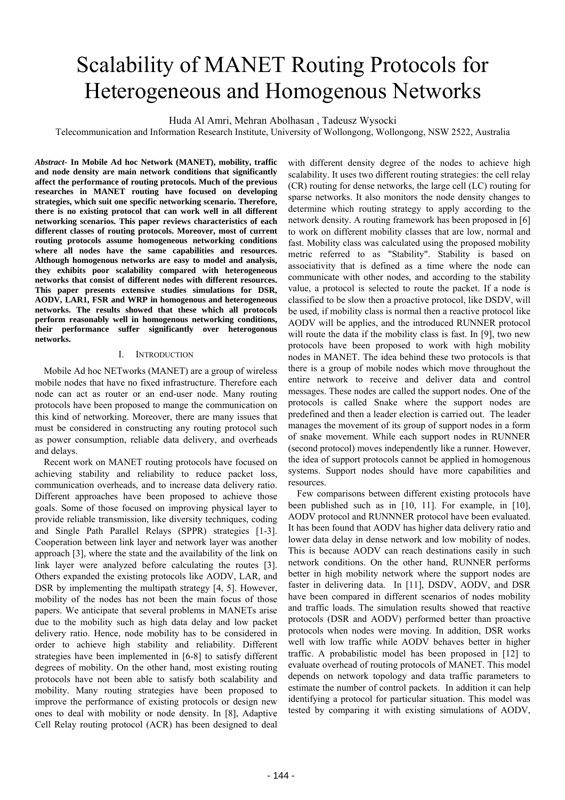# Scalability of MANET Routing Protocols for Heterogeneous and Homogenous Networks

Huda Al Amri, Mehran Abolhasan , Tadeusz Wysocki

Telecommunication and Information Research Institute, University of Wollongong, Wollongong, NSW 2522, Australia

*Abstract-* **In Mobile Ad hoc Network (MANET), mobility, traffic and node density are main network conditions that significantly affect the performance of routing protocols. Much of the previous researches in MANET routing have focused on developing strategies, which suit one specific networking scenario. Therefore, there is no existing protocol that can work well in all different networking scenarios. This paper reviews characteristics of each different classes of routing protocols. Moreover, most of current routing protocols assume homogeneous networking conditions where all nodes have the same capabilities and resources. Although homogenous networks are easy to model and analysis, they exhibits poor scalability compared with heterogeneous networks that consist of different nodes with different resources. This paper presents extensive studies simulations for DSR, AODV, LAR1, FSR and WRP in homogenous and heterogeneous networks. The results showed that these which all protocols perform reasonably well in homogenous networking conditions, their performance suffer significantly over heterogonous networks.** 

#### I. INTRODUCTION

Mobile Ad hoc NETworks (MANET) are a group of wireless mobile nodes that have no fixed infrastructure. Therefore each node can act as router or an end-user node. Many routing protocols have been proposed to mange the communication on this kind of networking. Moreover, there are many issues that must be considered in constructing any routing protocol such as power consumption, reliable data delivery, and overheads and delays.

Recent work on MANET routing protocols have focused on achieving stability and reliability to reduce packet loss, communication overheads, and to increase data delivery ratio. Different approaches have been proposed to achieve those goals. Some of those focused on improving physical layer to provide reliable transmission, like diversity techniques, coding and Single Path Parallel Relays (SPPR) strategies [1-3]. Cooperation between link layer and network layer was another approach [3], where the state and the availability of the link on link layer were analyzed before calculating the routes [3]. Others expanded the existing protocols like AODV, LAR, and DSR by implementing the multipath strategy [4, 5]. However, mobility of the nodes has not been the main focus of those papers. We anticipate that several problems in MANETs arise due to the mobility such as high data delay and low packet delivery ratio. Hence, node mobility has to be considered in order to achieve high stability and reliability. Different strategies have been implemented in [6-8] to satisfy different degrees of mobility. On the other hand, most existing routing protocols have not been able to satisfy both scalability and mobility. Many routing strategies have been proposed to improve the performance of existing protocols or design new ones to deal with mobility or node density. In [8], Adaptive Cell Relay routing protocol (ACR) has been designed to deal

with different density degree of the nodes to achieve high scalability. It uses two different routing strategies: the cell relay (CR) routing for dense networks, the large cell (LC) routing for sparse networks. It also monitors the node density changes to determine which routing strategy to apply according to the network density. A routing framework has been proposed in [6] to work on different mobility classes that are low, normal and fast. Mobility class was calculated using the proposed mobility metric referred to as "Stability". Stability is based on associativity that is defined as a time where the node can communicate with other nodes, and according to the stability value, a protocol is selected to route the packet. If a node is classified to be slow then a proactive protocol, like DSDV, will be used, if mobility class is normal then a reactive protocol like AODV will be applies, and the introduced RUNNER protocol will route the data if the mobility class is fast. In [9], two new protocols have been proposed to work with high mobility nodes in MANET. The idea behind these two protocols is that there is a group of mobile nodes which move throughout the entire network to receive and deliver data and control messages. These nodes are called the support nodes. One of the protocols is called Snake where the support nodes are predefined and then a leader election is carried out. The leader manages the movement of its group of support nodes in a form of snake movement. While each support nodes in RUNNER (second protocol) moves independently like a runner. However, the idea of support protocols cannot be applied in homogenous systems. Support nodes should have more capabilities and resources.

Few comparisons between different existing protocols have been published such as in [10, 11]. For example, in [10], AODV protocol and RUNNNER protocol have been evaluated. It has been found that AODV has higher data delivery ratio and lower data delay in dense network and low mobility of nodes. This is because AODV can reach destinations easily in such network conditions. On the other hand, RUNNER performs better in high mobility network where the support nodes are faster in delivering data. In [11], DSDV, AODV, and DSR have been compared in different scenarios of nodes mobility and traffic loads. The simulation results showed that reactive protocols (DSR and AODV) performed better than proactive protocols when nodes were moving. In addition, DSR works well with low traffic while AODV behaves better in higher traffic. A probabilistic model has been proposed in [12] to evaluate overhead of routing protocols of MANET. This model depends on network topology and data traffic parameters to estimate the number of control packets. In addition it can help identifying a protocol for particular situation. This model was tested by comparing it with existing simulations of AODV,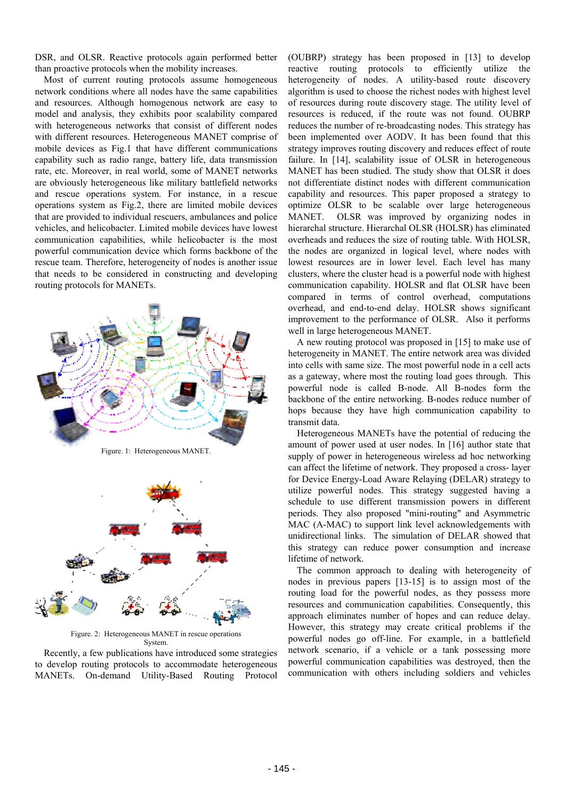DSR, and OLSR. Reactive protocols again performed better than proactive protocols when the mobility increases.

Most of current routing protocols assume homogeneous network conditions where all nodes have the same capabilities and resources. Although homogenous network are easy to model and analysis, they exhibits poor scalability compared with heterogeneous networks that consist of different nodes with different resources. Heterogeneous MANET comprise of mobile devices as Fig.1 that have different communications capability such as radio range, battery life, data transmission rate, etc. Moreover, in real world, some of MANET networks are obviously heterogeneous like military battlefield networks and rescue operations system. For instance, in a rescue operations system as Fig.2, there are limited mobile devices that are provided to individual rescuers, ambulances and police vehicles, and helicobacter. Limited mobile devices have lowest communication capabilities, while helicobacter is the most powerful communication device which forms backbone of the rescue team. Therefore, heterogeneity of nodes is another issue that needs to be considered in constructing and developing routing protocols for MANETs.





Figure. 2: Heterogeneous MANET in rescue operations System.

Recently, a few publications have introduced some strategies to develop routing protocols to accommodate heterogeneous MANETs. On-demand Utility-Based Routing Protocol (OUBRP) strategy has been proposed in [13] to develop reactive routing protocols to efficiently utilize the heterogeneity of nodes. A utility-based route discovery algorithm is used to choose the richest nodes with highest level of resources during route discovery stage. The utility level of resources is reduced, if the route was not found. OUBRP reduces the number of re-broadcasting nodes. This strategy has been implemented over AODV. It has been found that this strategy improves routing discovery and reduces effect of route failure. In [14], scalability issue of OLSR in heterogeneous MANET has been studied. The study show that OLSR it does not differentiate distinct nodes with different communication capability and resources. This paper proposed a strategy to optimize OLSR to be scalable over large heterogeneous MANET. OLSR was improved by organizing nodes in hierarchal structure. Hierarchal OLSR (HOLSR) has eliminated overheads and reduces the size of routing table. With HOLSR, the nodes are organized in logical level, where nodes with lowest resources are in lower level. Each level has many clusters, where the cluster head is a powerful node with highest communication capability. HOLSR and flat OLSR have been compared in terms of control overhead, computations overhead, and end-to-end delay. HOLSR shows significant improvement to the performance of OLSR. Also it performs well in large heterogeneous MANET.

A new routing protocol was proposed in [15] to make use of heterogeneity in MANET. The entire network area was divided into cells with same size. The most powerful node in a cell acts as a gateway, where most the routing load goes through. This powerful node is called B-node. All B-nodes form the backbone of the entire networking. B-nodes reduce number of hops because they have high communication capability to transmit data.

Heterogeneous MANETs have the potential of reducing the amount of power used at user nodes. In [16] author state that supply of power in heterogeneous wireless ad hoc networking can affect the lifetime of network. They proposed a cross- layer for Device Energy-Load Aware Relaying (DELAR) strategy to utilize powerful nodes. This strategy suggested having a schedule to use different transmission powers in different periods. They also proposed "mini-routing" and Asymmetric MAC (A-MAC) to support link level acknowledgements with unidirectional links. The simulation of DELAR showed that this strategy can reduce power consumption and increase lifetime of network.

The common approach to dealing with heterogeneity of nodes in previous papers [13-15] is to assign most of the routing load for the powerful nodes, as they possess more resources and communication capabilities. Consequently, this approach eliminates number of hopes and can reduce delay. However, this strategy may create critical problems if the powerful nodes go off-line. For example, in a battlefield network scenario, if a vehicle or a tank possessing more powerful communication capabilities was destroyed, then the communication with others including soldiers and vehicles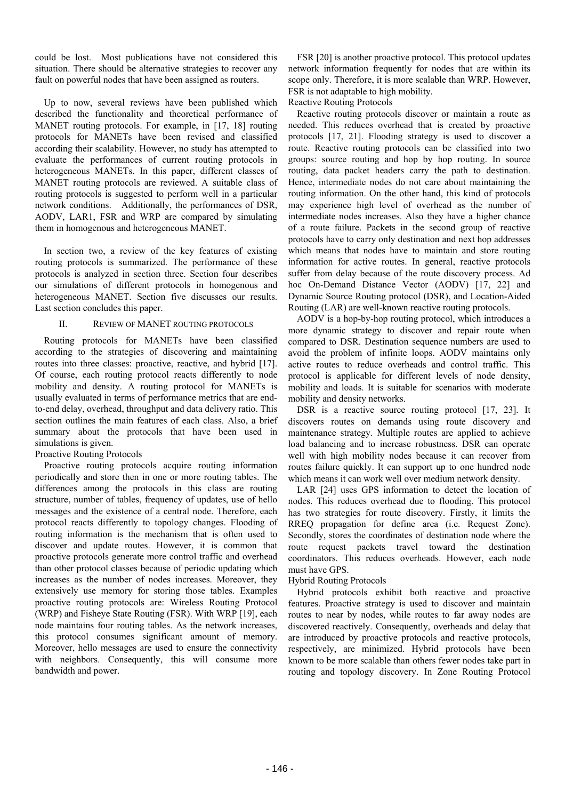could be lost. Most publications have not considered this situation. There should be alternative strategies to recover any fault on powerful nodes that have been assigned as routers.

Up to now, several reviews have been published which described the functionality and theoretical performance of MANET routing protocols. For example, in [17, 18] routing protocols for MANETs have been revised and classified according their scalability. However, no study has attempted to evaluate the performances of current routing protocols in heterogeneous MANETs. In this paper, different classes of MANET routing protocols are reviewed. A suitable class of routing protocols is suggested to perform well in a particular network conditions. Additionally, the performances of DSR, AODV, LAR1, FSR and WRP are compared by simulating them in homogenous and heterogeneous MANET.

In section two, a review of the key features of existing routing protocols is summarized. The performance of these protocols is analyzed in section three. Section four describes our simulations of different protocols in homogenous and heterogeneous MANET. Section five discusses our results. Last section concludes this paper.

#### II. REVIEW OF MANET ROUTING PROTOCOLS

Routing protocols for MANETs have been classified according to the strategies of discovering and maintaining routes into three classes: proactive, reactive, and hybrid [17]. Of course, each routing protocol reacts differently to node mobility and density. A routing protocol for MANETs is usually evaluated in terms of performance metrics that are endto-end delay, overhead, throughput and data delivery ratio. This section outlines the main features of each class. Also, a brief summary about the protocols that have been used in simulations is given.

Proactive Routing Protocols

Proactive routing protocols acquire routing information periodically and store then in one or more routing tables. The differences among the protocols in this class are routing structure, number of tables, frequency of updates, use of hello messages and the existence of a central node. Therefore, each protocol reacts differently to topology changes. Flooding of routing information is the mechanism that is often used to discover and update routes. However, it is common that proactive protocols generate more control traffic and overhead than other protocol classes because of periodic updating which increases as the number of nodes increases. Moreover, they extensively use memory for storing those tables. Examples proactive routing protocols are: Wireless Routing Protocol (WRP) and Fisheye State Routing (FSR). With WRP [19], each node maintains four routing tables. As the network increases, this protocol consumes significant amount of memory. Moreover, hello messages are used to ensure the connectivity with neighbors. Consequently, this will consume more bandwidth and power.

FSR [20] is another proactive protocol. This protocol updates network information frequently for nodes that are within its scope only. Therefore, it is more scalable than WRP. However, FSR is not adaptable to high mobility.

#### Reactive Routing Protocols

Reactive routing protocols discover or maintain a route as needed. This reduces overhead that is created by proactive protocols [17, 21]. Flooding strategy is used to discover a route. Reactive routing protocols can be classified into two groups: source routing and hop by hop routing. In source routing, data packet headers carry the path to destination. Hence, intermediate nodes do not care about maintaining the routing information. On the other hand, this kind of protocols may experience high level of overhead as the number of intermediate nodes increases. Also they have a higher chance of a route failure. Packets in the second group of reactive protocols have to carry only destination and next hop addresses which means that nodes have to maintain and store routing information for active routes. In general, reactive protocols suffer from delay because of the route discovery process. Ad hoc On-Demand Distance Vector (AODV) [17, 22] and Dynamic Source Routing protocol (DSR), and Location-Aided Routing (LAR) are well-known reactive routing protocols.

AODV is a hop-by-hop routing protocol, which introduces a more dynamic strategy to discover and repair route when compared to DSR. Destination sequence numbers are used to avoid the problem of infinite loops. AODV maintains only active routes to reduce overheads and control traffic. This protocol is applicable for different levels of node density, mobility and loads. It is suitable for scenarios with moderate mobility and density networks.

DSR is a reactive source routing protocol [17, 23]. It discovers routes on demands using route discovery and maintenance strategy. Multiple routes are applied to achieve load balancing and to increase robustness. DSR can operate well with high mobility nodes because it can recover from routes failure quickly. It can support up to one hundred node which means it can work well over medium network density.

LAR [24] uses GPS information to detect the location of nodes. This reduces overhead due to flooding. This protocol has two strategies for route discovery. Firstly, it limits the RREQ propagation for define area (i.e. Request Zone). Secondly, stores the coordinates of destination node where the route request packets travel toward the destination coordinators. This reduces overheads. However, each node must have GPS.

#### Hybrid Routing Protocols

Hybrid protocols exhibit both reactive and proactive features. Proactive strategy is used to discover and maintain routes to near by nodes, while routes to far away nodes are discovered reactively. Consequently, overheads and delay that are introduced by proactive protocols and reactive protocols, respectively, are minimized. Hybrid protocols have been known to be more scalable than others fewer nodes take part in routing and topology discovery. In Zone Routing Protocol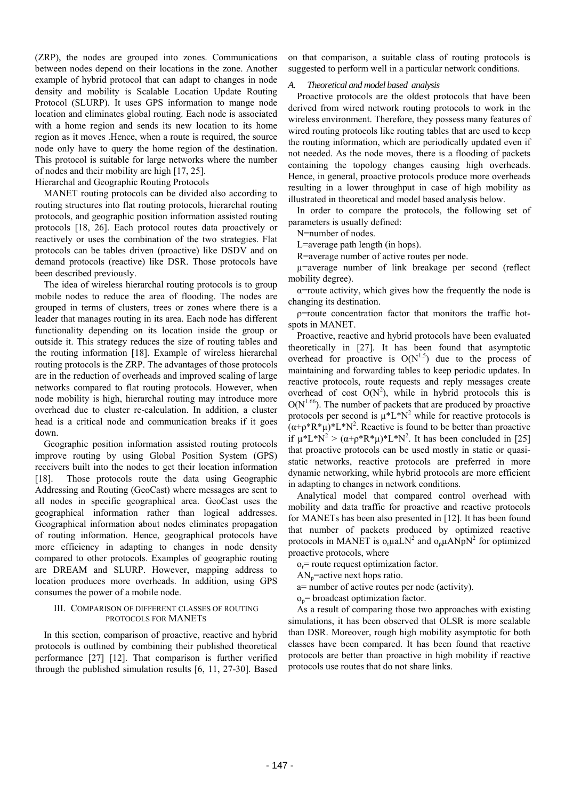(ZRP), the nodes are grouped into zones. Communications between nodes depend on their locations in the zone. Another example of hybrid protocol that can adapt to changes in node density and mobility is Scalable Location Update Routing Protocol (SLURP). It uses GPS information to mange node location and eliminates global routing. Each node is associated with a home region and sends its new location to its home region as it moves .Hence, when a route is required, the source node only have to query the home region of the destination. This protocol is suitable for large networks where the number of nodes and their mobility are high [17, 25].

Hierarchal and Geographic Routing Protocols

MANET routing protocols can be divided also according to routing structures into flat routing protocols, hierarchal routing protocols, and geographic position information assisted routing protocols [18, 26]. Each protocol routes data proactively or reactively or uses the combination of the two strategies. Flat protocols can be tables driven (proactive) like DSDV and on demand protocols (reactive) like DSR. Those protocols have been described previously.

The idea of wireless hierarchal routing protocols is to group mobile nodes to reduce the area of flooding. The nodes are grouped in terms of clusters, trees or zones where there is a leader that manages routing in its area. Each node has different functionality depending on its location inside the group or outside it. This strategy reduces the size of routing tables and the routing information [18]. Example of wireless hierarchal routing protocols is the ZRP. The advantages of those protocols are in the reduction of overheads and improved scaling of large networks compared to flat routing protocols. However, when node mobility is high, hierarchal routing may introduce more overhead due to cluster re-calculation. In addition, a cluster head is a critical node and communication breaks if it goes down.

Geographic position information assisted routing protocols improve routing by using Global Position System (GPS) receivers built into the nodes to get their location information [18]. Those protocols route the data using Geographic Addressing and Routing (GeoCast) where messages are sent to all nodes in specific geographical area. GeoCast uses the geographical information rather than logical addresses. Geographical information about nodes eliminates propagation of routing information. Hence, geographical protocols have more efficiency in adapting to changes in node density compared to other protocols. Examples of geographic routing are DREAM and SLURP. However, mapping address to location produces more overheads. In addition, using GPS consumes the power of a mobile node.

#### III. COMPARISON OF DIFFERENT CLASSES OF ROUTING PROTOCOLS FOR MANETS

In this section, comparison of proactive, reactive and hybrid protocols is outlined by combining their published theoretical performance [27] [12]. That comparison is further verified through the published simulation results [6, 11, 27-30]. Based

on that comparison, a suitable class of routing protocols is suggested to perform well in a particular network conditions.

#### *A. Theoretical and model based analysis*

Proactive protocols are the oldest protocols that have been derived from wired network routing protocols to work in the wireless environment. Therefore, they possess many features of wired routing protocols like routing tables that are used to keep the routing information, which are periodically updated even if not needed. As the node moves, there is a flooding of packets containing the topology changes causing high overheads. Hence, in general, proactive protocols produce more overheads resulting in a lower throughput in case of high mobility as illustrated in theoretical and model based analysis below.

In order to compare the protocols, the following set of parameters is usually defined:

N=number of nodes.

L=average path length (in hops).

R=average number of active routes per node.

µ=average number of link breakage per second (reflect mobility degree).

 $\alpha$ =route activity, which gives how the frequently the node is changing its destination.

ρ=route concentration factor that monitors the traffic hotspots in MANET.

Proactive, reactive and hybrid protocols have been evaluated theoretically in [27]. It has been found that asymptotic overhead for proactive is  $O(N^{1.5})$  due to the process of maintaining and forwarding tables to keep periodic updates. In reactive protocols, route requests and reply messages create overhead of cost  $O(N^2)$ , while in hybrid protocols this is  $O(N^{1.66})$ . The number of packets that are produced by proactive protocols per second is  $\mu^* L^* N^2$  while for reactive protocols is  $(\alpha + \rho^* R^* \mu)^* L^* N^2$ . Reactive is found to be better than proactive if  $\mu^* L^* N^2 > (\alpha + \rho^* R^* \mu)^* L^* N^2$ . It has been concluded in [25] that proactive protocols can be used mostly in static or quasistatic networks, reactive protocols are preferred in more dynamic networking, while hybrid protocols are more efficient in adapting to changes in network conditions.

Analytical model that compared control overhead with mobility and data traffic for proactive and reactive protocols for MANETs has been also presented in [12]. It has been found that number of packets produced by optimized reactive protocols in MANET is  $o_r \mu a L N^2$  and  $o_p \mu A N p N^2$  for optimized proactive protocols, where

 $o_r$ = route request optimization factor.

 $AN_p$ =active next hops ratio.

a= number of active routes per node (activity).

 $o_p$ = broadcast optimization factor.

As a result of comparing those two approaches with existing simulations, it has been observed that OLSR is more scalable than DSR. Moreover, rough high mobility asymptotic for both classes have been compared. It has been found that reactive protocols are better than proactive in high mobility if reactive protocols use routes that do not share links.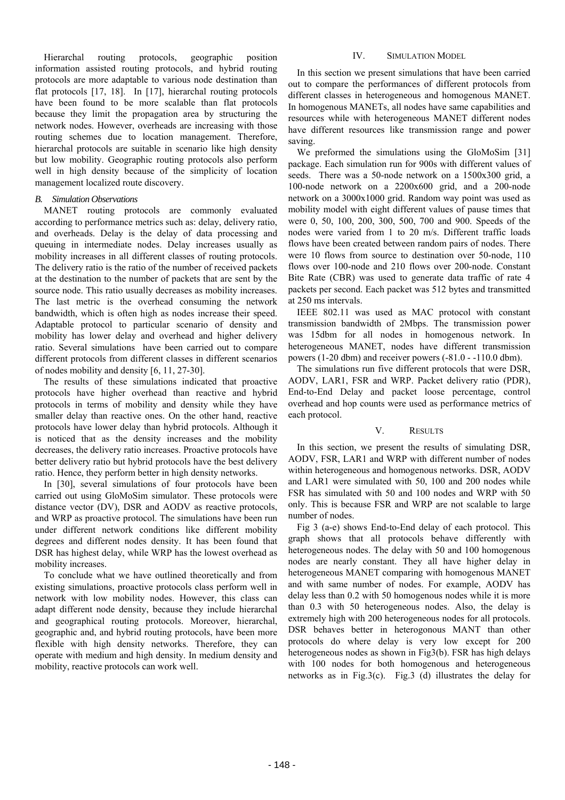Hierarchal routing protocols, geographic position information assisted routing protocols, and hybrid routing protocols are more adaptable to various node destination than flat protocols [17, 18]. In [17], hierarchal routing protocols have been found to be more scalable than flat protocols because they limit the propagation area by structuring the network nodes. However, overheads are increasing with those routing schemes due to location management. Therefore, hierarchal protocols are suitable in scenario like high density but low mobility. Geographic routing protocols also perform well in high density because of the simplicity of location management localized route discovery.

#### *B. Simulation Observations*

MANET routing protocols are commonly evaluated according to performance metrics such as: delay, delivery ratio, and overheads. Delay is the delay of data processing and queuing in intermediate nodes. Delay increases usually as mobility increases in all different classes of routing protocols. The delivery ratio is the ratio of the number of received packets at the destination to the number of packets that are sent by the source node. This ratio usually decreases as mobility increases. The last metric is the overhead consuming the network bandwidth, which is often high as nodes increase their speed. Adaptable protocol to particular scenario of density and mobility has lower delay and overhead and higher delivery ratio. Several simulations have been carried out to compare different protocols from different classes in different scenarios of nodes mobility and density [6, 11, 27-30].

The results of these simulations indicated that proactive protocols have higher overhead than reactive and hybrid protocols in terms of mobility and density while they have smaller delay than reactive ones. On the other hand, reactive protocols have lower delay than hybrid protocols. Although it is noticed that as the density increases and the mobility decreases, the delivery ratio increases. Proactive protocols have better delivery ratio but hybrid protocols have the best delivery ratio. Hence, they perform better in high density networks.

In [30], several simulations of four protocols have been carried out using GloMoSim simulator. These protocols were distance vector (DV), DSR and AODV as reactive protocols, and WRP as proactive protocol. The simulations have been run under different network conditions like different mobility degrees and different nodes density. It has been found that DSR has highest delay, while WRP has the lowest overhead as mobility increases.

To conclude what we have outlined theoretically and from existing simulations, proactive protocols class perform well in network with low mobility nodes. However, this class can adapt different node density, because they include hierarchal and geographical routing protocols. Moreover, hierarchal, geographic and, and hybrid routing protocols, have been more flexible with high density networks. Therefore, they can operate with medium and high density. In medium density and mobility, reactive protocols can work well.

#### IV. SIMULATION MODEL

In this section we present simulations that have been carried out to compare the performances of different protocols from different classes in heterogeneous and homogenous MANET. In homogenous MANETs, all nodes have same capabilities and resources while with heterogeneous MANET different nodes have different resources like transmission range and power saving.

We preformed the simulations using the GloMoSim [31] package. Each simulation run for 900s with different values of seeds. There was a 50-node network on a 1500x300 grid, a 100-node network on a 2200x600 grid, and a 200-node network on a 3000x1000 grid. Random way point was used as mobility model with eight different values of pause times that were 0, 50, 100, 200, 300, 500, 700 and 900. Speeds of the nodes were varied from 1 to 20 m/s. Different traffic loads flows have been created between random pairs of nodes. There were 10 flows from source to destination over 50-node, 110 flows over 100-node and 210 flows over 200-node. Constant Bite Rate (CBR) was used to generate data traffic of rate 4 packets per second. Each packet was 512 bytes and transmitted at 250 ms intervals.

IEEE 802.11 was used as MAC protocol with constant transmission bandwidth of 2Mbps. The transmission power was 15dbm for all nodes in homogenous network. In heterogeneous MANET, nodes have different transmission powers (1-20 dbm) and receiver powers (-81.0 - -110.0 dbm).

The simulations run five different protocols that were DSR, AODV, LAR1, FSR and WRP. Packet delivery ratio (PDR), End-to-End Delay and packet loose percentage, control overhead and hop counts were used as performance metrics of each protocol.

#### V. RESULTS

In this section, we present the results of simulating DSR, AODV, FSR, LAR1 and WRP with different number of nodes within heterogeneous and homogenous networks. DSR, AODV and LAR1 were simulated with 50, 100 and 200 nodes while FSR has simulated with 50 and 100 nodes and WRP with 50 only. This is because FSR and WRP are not scalable to large number of nodes.

Fig 3 (a-e) shows End-to-End delay of each protocol. This graph shows that all protocols behave differently with heterogeneous nodes. The delay with 50 and 100 homogenous nodes are nearly constant. They all have higher delay in heterogeneous MANET comparing with homogenous MANET and with same number of nodes. For example, AODV has delay less than 0.2 with 50 homogenous nodes while it is more than 0.3 with 50 heterogeneous nodes. Also, the delay is extremely high with 200 heterogeneous nodes for all protocols. DSR behaves better in heterogonous MANT than other protocols do where delay is very low except for 200 heterogeneous nodes as shown in Fig3(b). FSR has high delays with 100 nodes for both homogenous and heterogeneous networks as in Fig.3(c). Fig.3 (d) illustrates the delay for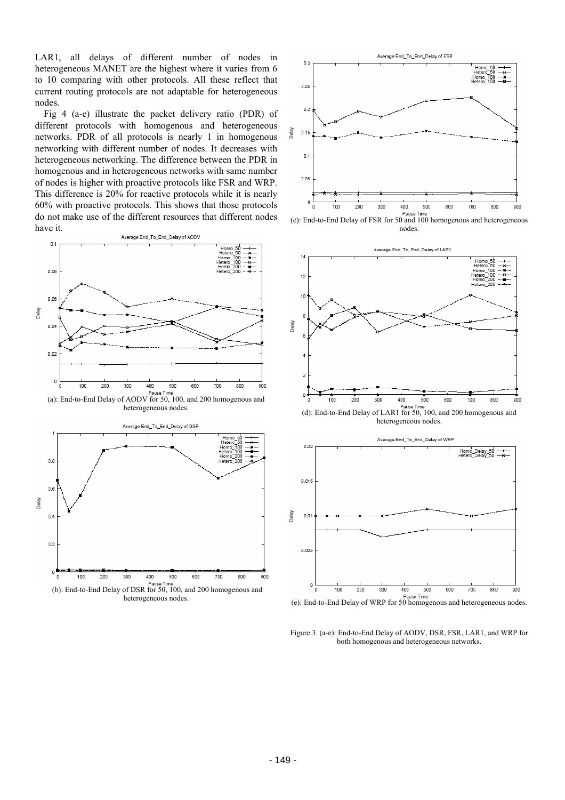LAR1, all delays of different number of nodes in heterogeneous MANET are the highest where it varies from 6 to 10 comparing with other protocols. All these reflect that current routing protocols are not adaptable for heterogeneous nodes.

Fig 4 (a-e) illustrate the packet delivery ratio (PDR) of different protocols with homogenous and heterogeneous networks. PDR of all protocols is nearly 1 in homogenous networking with different number of nodes. It decreases with heterogeneous networking. The difference between the PDR in homogenous and in heterogeneous networks with same number of nodes is higher with proactive protocols like FSR and WRP. This difference is 20% for reactive protocols while it is nearly 60% with proactive protocols. This shows that those protocols do not make use of the different resources that different nodes have it.







(c): End-to-End Delay of FSR for 50 and 100 homogenous and heterogeneous nodes.



(d): End-to-End Delay of LAR1 for 50, 100, and 200 homogenous and heterogeneous nodes.



(e): End-to-End Delay of WRP for 50 homogenous and heterogeneous nodes.

Figure.3. (a-e): End-to-End Delay of AODV, DSR, FSR, LAR1, and WRP for both homogenous and heterogeneous networks.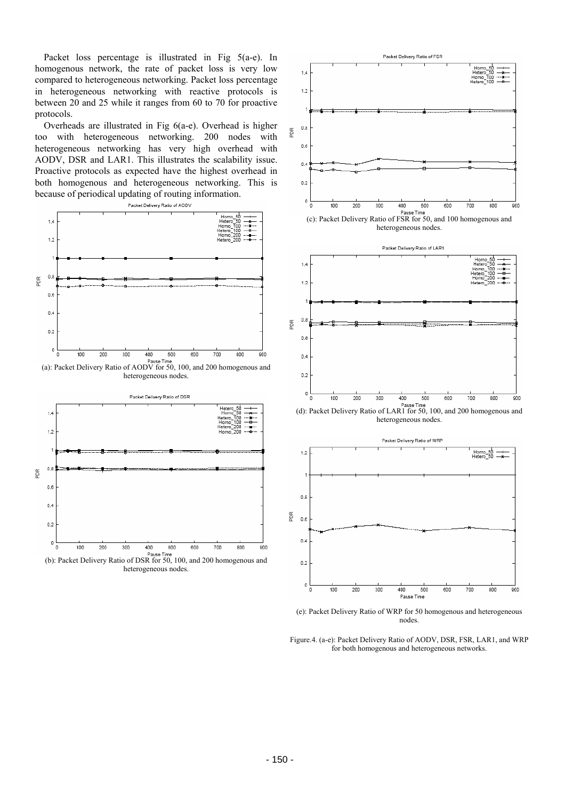Packet loss percentage is illustrated in Fig 5(a-e). In homogenous network, the rate of packet loss is very low compared to heterogeneous networking. Packet loss percentage in heterogeneous networking with reactive protocols is between 20 and 25 while it ranges from 60 to 70 for proactive protocols.

Overheads are illustrated in Fig 6(a-e). Overhead is higher too with heterogeneous networking. 200 nodes with heterogeneous networking has very high overhead with AODV, DSR and LAR1. This illustrates the scalability issue. Proactive protocols as expected have the highest overhead in both homogenous and heterogeneous networking. This is because of periodical updating of routing information.



heterogeneous nodes.



(b): Packet Delivery Ratio of DSR for 50, 100, and 200 homogenous and heterogeneous nodes.



heterogeneous nodes.



(d): Packet Delivery Ratio of LAR1 for 50, 100, and 200 homogenous and heterogeneous nodes.



(e): Packet Delivery Ratio of WRP for 50 homogenous and heterogeneous nodes.

Figure.4. (a-e): Packet Delivery Ratio of AODV, DSR, FSR, LAR1, and WRP for both homogenous and heterogeneous networks.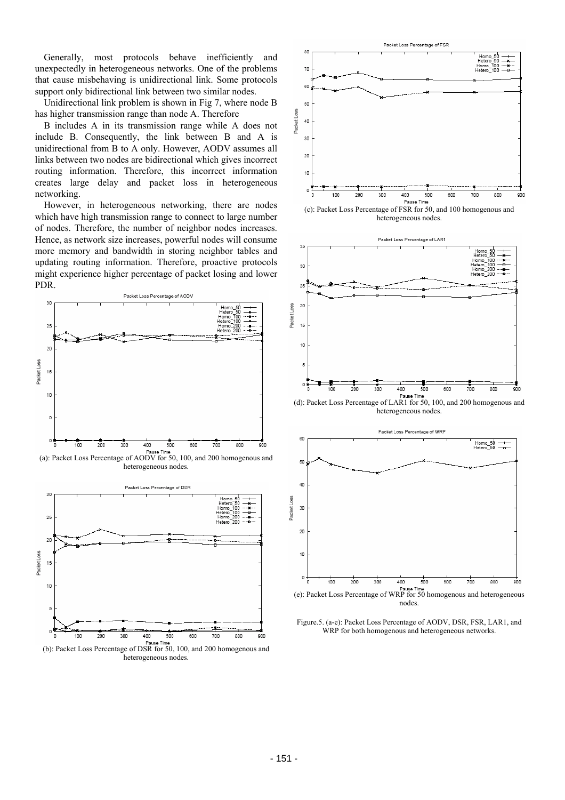Generally, most protocols behave inefficiently and unexpectedly in heterogeneous networks. One of the problems that cause misbehaving is unidirectional link. Some protocols support only bidirectional link between two similar nodes.

Unidirectional link problem is shown in Fig 7, where node B has higher transmission range than node A. Therefore

B includes A in its transmission range while A does not include B. Consequently, the link between B and A is unidirectional from B to A only. However, AODV assumes all links between two nodes are bidirectional which gives incorrect routing information. Therefore, this incorrect information creates large delay and packet loss in heterogeneous networking.

However, in heterogeneous networking, there are nodes which have high transmission range to connect to large number of nodes. Therefore, the number of neighbor nodes increases. Hence, as network size increases, powerful nodes will consume more memory and bandwidth in storing neighbor tables and updating routing information. Therefore, proactive protocols might experience higher percentage of packet losing and lower PDR.



(a): Packet Loss Percentage of AODV for 50, 100, and 200 homogenous and heterogeneous nodes.





(c): Packet Loss Percentage of FSR for 50, and 100 homogenous and heterogeneous nodes.



heterogeneous nodes.



(e): Packet Loss Percentage of WRP for 50 homogenous and heterogeneous nodes.

Figure.5. (a-e): Packet Loss Percentage of AODV, DSR, FSR, LAR1, and WRP for both homogenous and heterogeneous networks.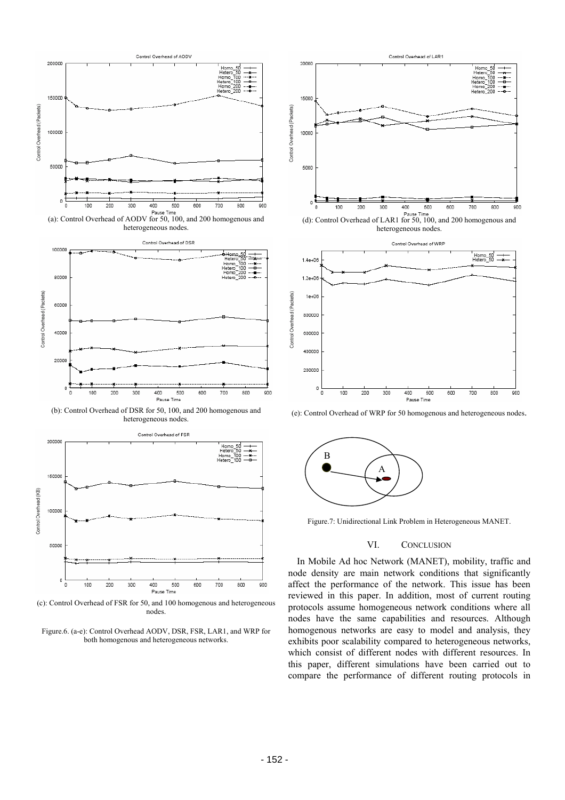

(a): Control Overhead of AODV for 50, 100, and 200 homogenous and heterogeneous nodes.



(b): Control Overhead of DSR for 50, 100, and 200 homogenous and heterogeneous nodes.



(c): Control Overhead of FSR for 50, and 100 homogenous and heterogeneous nodes.





(d): Control Overhead of LAR1 for 50, 100, and 200 homogenous and heterogeneous nodes.



(e): Control Overhead of WRP for 50 homogenous and heterogeneous nodes.



Figure.7: Unidirectional Link Problem in Heterogeneous MANET.

#### VI. CONCLUSION

In Mobile Ad hoc Network (MANET), mobility, traffic and node density are main network conditions that significantly affect the performance of the network. This issue has been reviewed in this paper. In addition, most of current routing protocols assume homogeneous network conditions where all nodes have the same capabilities and resources. Although homogenous networks are easy to model and analysis, they exhibits poor scalability compared to heterogeneous networks, which consist of different nodes with different resources. In this paper, different simulations have been carried out to compare the performance of different routing protocols in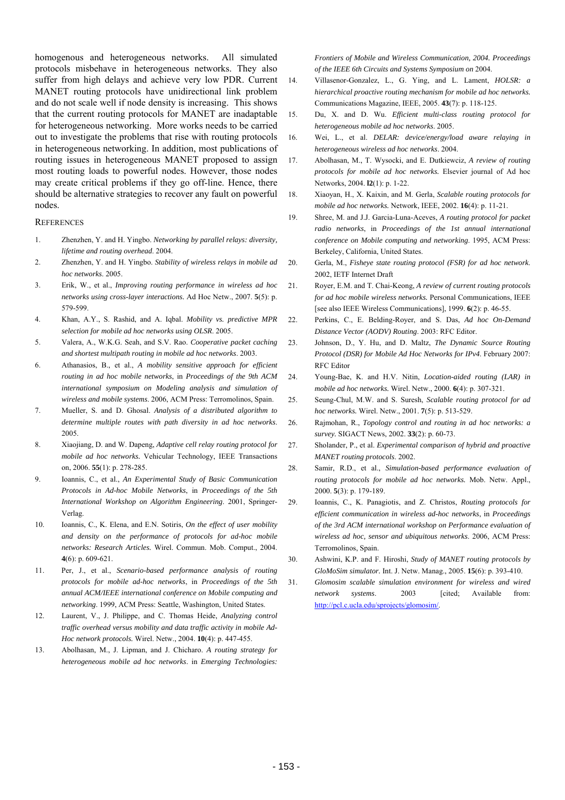homogenous and heterogeneous networks. All simulated protocols misbehave in heterogeneous networks. They also suffer from high delays and achieve very low PDR. Current MANET routing protocols have unidirectional link problem and do not scale well if node density is increasing. This shows that the current routing protocols for MANET are inadaptable for heterogeneous networking. More works needs to be carried out to investigate the problems that rise with routing protocols in heterogeneous networking. In addition, most publications of routing issues in heterogeneous MANET proposed to assign most routing loads to powerful nodes. However, those nodes may create critical problems if they go off-line. Hence, there should be alternative strategies to recover any fault on powerful nodes.

#### **REFERENCES**

- 1. Zhenzhen, Y. and H. Yingbo. *Networking by parallel relays: diversity, lifetime and routing overhead*. 2004.
- 2. Zhenzhen, Y. and H. Yingbo. *Stability of wireless relays in mobile ad hoc networks*. 2005.
- 3. Erik, W., et al., *Improving routing performance in wireless ad hoc networks using cross-layer interactions.* Ad Hoc Netw., 2007. **5**(5): p. 579-599.
- 4. Khan, A.Y., S. Rashid, and A. Iqbal. *Mobility vs. predictive MPR selection for mobile ad hoc networks using OLSR*. 2005.
- 5. Valera, A., W.K.G. Seah, and S.V. Rao. *Cooperative packet caching and shortest multipath routing in mobile ad hoc networks*. 2003.
- 6. Athanasios, B., et al., *A mobility sensitive approach for efficient routing in ad hoc mobile networks*, in *Proceedings of the 9th ACM international symposium on Modeling analysis and simulation of wireless and mobile systems*. 2006, ACM Press: Terromolinos, Spain.
- 7. Mueller, S. and D. Ghosal. *Analysis of a distributed algorithm to determine multiple routes with path diversity in ad hoc networks*. 2005.
- 8. Xiaojiang, D. and W. Dapeng, *Adaptive cell relay routing protocol for mobile ad hoc networks.* Vehicular Technology, IEEE Transactions on, 2006. **55**(1): p. 278-285.
- 9. Ioannis, C., et al., *An Experimental Study of Basic Communication Protocols in Ad-hoc Mobile Networks*, in *Proceedings of the 5th International Workshop on Algorithm Engineering*. 2001, Springer-Verlag.
- 10. Ioannis, C., K. Elena, and E.N. Sotiris, *On the effect of user mobility and density on the performance of protocols for ad-hoc mobile networks: Research Articles.* Wirel. Commun. Mob. Comput., 2004. **4**(6): p. 609-621.
- 11. Per, J., et al., *Scenario-based performance analysis of routing protocols for mobile ad-hoc networks*, in *Proceedings of the 5th annual ACM/IEEE international conference on Mobile computing and networking*. 1999, ACM Press: Seattle, Washington, United States.
- 12. Laurent, V., J. Philippe, and C. Thomas Heide, *Analyzing control traffic overhead versus mobility and data traffic activity in mobile Ad-Hoc network protocols.* Wirel. Netw., 2004. **10**(4): p. 447-455.
- 13. Abolhasan, M., J. Lipman, and J. Chicharo. *A routing strategy for heterogeneous mobile ad hoc networks*. in *Emerging Technologies:*

*Frontiers of Mobile and Wireless Communication, 2004. Proceedings of the IEEE 6th Circuits and Systems Symposium on* 2004.

- 14. Villasenor-Gonzalez, L., G. Ying, and L. Lament, *HOLSR: a hierarchical proactive routing mechanism for mobile ad hoc networks.* Communications Magazine, IEEE, 2005. **43**(7): p. 118-125.
- 15. Du, X. and D. Wu. *Efficient multi-class routing protocol for heterogeneous mobile ad hoc networks*. 2005.
- 16. Wei, L., et al. *DELAR: device/energy/load aware relaying in heterogeneous wireless ad hoc networks*. 2004.
- 17. Abolhasan, M., T. Wysocki, and E. Dutkiewciz, *A review of routing protocols for mobile ad hoc networks.* Elsevier journal of Ad hoc Networks, 2004. **l2**(1): p. 1-22.
- 18. Xiaoyan, H., X. Kaixin, and M. Gerla, *Scalable routing protocols for mobile ad hoc networks.* Network, IEEE, 2002. **16**(4): p. 11-21.
- 19. Shree, M. and J.J. Garcia-Luna-Aceves, *A routing protocol for packet radio networks*, in *Proceedings of the 1st annual international conference on Mobile computing and networking*. 1995, ACM Press: Berkeley, California, United States.
- 20. Gerla, M., *Fisheye state routing protocol (FSR) for ad hoc network*. 2002, IETF Internet Draft
- 21. Royer, E.M. and T. Chai-Keong, *A review of current routing protocols for ad hoc mobile wireless networks.* Personal Communications, IEEE [see also IEEE Wireless Communications], 1999. **6**(2): p. 46-55.
- 22. Perkins, C., E. Belding-Royer, and S. Das, *Ad hoc On-Demand Distance Vector (AODV) Routing*. 2003: RFC Editor.
- 23. Johnson, D., Y. Hu, and D. Maltz, *The Dynamic Source Routing Protocol (DSR) for Mobile Ad Hoc Networks for IPv4*. February 2007: RFC Editor
- 24. Young-Bae, K. and H.V. Nitin, *Location-aided routing (LAR) in mobile ad hoc networks.* Wirel. Netw., 2000. **6**(4): p. 307-321.
- 25. Seung-Chul, M.W. and S. Suresh, *Scalable routing protocol for ad hoc networks.* Wirel. Netw., 2001. **7**(5): p. 513-529.
- 26. Rajmohan, R., *Topology control and routing in ad hoc networks: a survey.* SIGACT News, 2002. **33**(2): p. 60-73.
- 27. Sholander, P., et al. *Experimental comparison of hybrid and proactive MANET routing protocols*. 2002.
- 28. Samir, R.D., et al., *Simulation-based performance evaluation of routing protocols for mobile ad hoc networks.* Mob. Netw. Appl., 2000. **5**(3): p. 179-189.
- 29. Ioannis, C., K. Panagiotis, and Z. Christos, *Routing protocols for efficient communication in wireless ad-hoc networks*, in *Proceedings of the 3rd ACM international workshop on Performance evaluation of wireless ad hoc, sensor and ubiquitous networks*. 2006, ACM Press: Terromolinos, Spain.
- 30. Ashwini, K.P. and F. Hiroshi, *Study of MANET routing protocols by GloMoSim simulator.* Int. J. Netw. Manag., 2005. **15**(6): p. 393-410.
- 31. *Glomosim scalable simulation environment for wireless and wired network systems*. 2003 [cited; Available from: http://pcl.c.ucla.edu/sprojects/glomosim/.